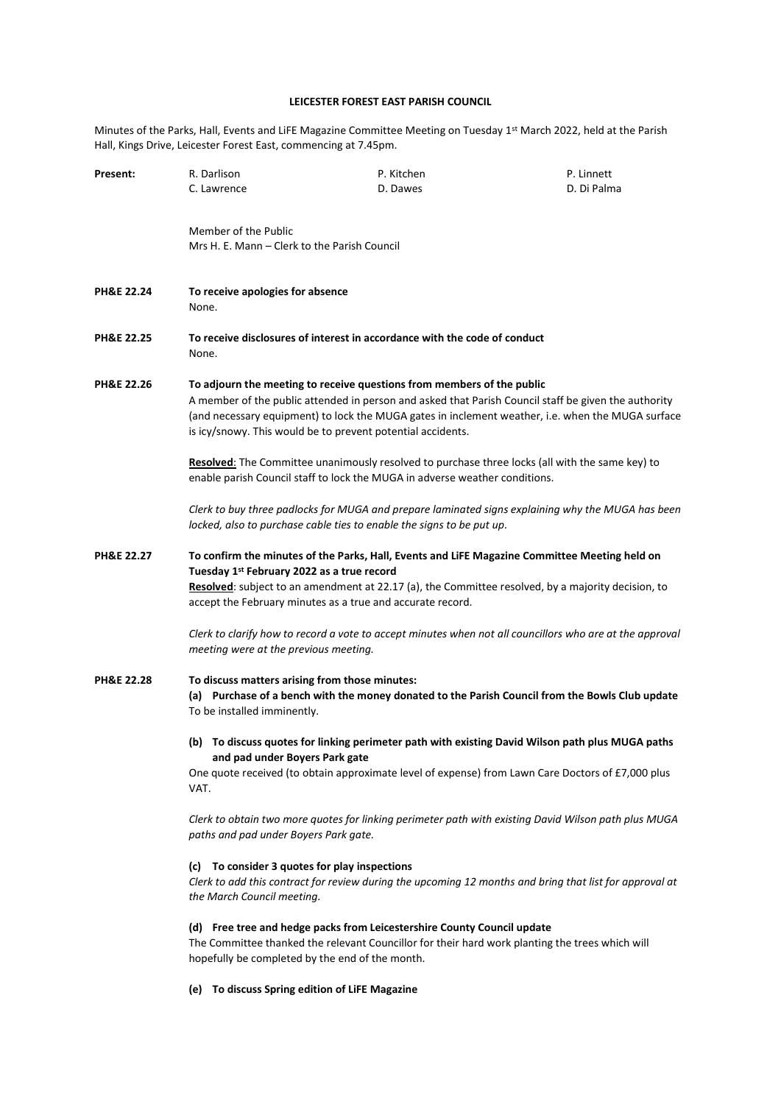# **LEICESTER FOREST EAST PARISH COUNCIL**

Minutes of the Parks, Hall, Events and LiFE Magazine Committee Meeting on Tuesday 1st March 2022, held at the Parish Hall, Kings Drive, Leicester Forest East, commencing at 7.45pm.

| Present:              | R. Darlison<br>C. Lawrence                                                                                                                                                                                                                                                                                                                         | P. Kitchen<br>D. Dawes                                                                                                                                                     | P. Linnett<br>D. Di Palma                                                                                |
|-----------------------|----------------------------------------------------------------------------------------------------------------------------------------------------------------------------------------------------------------------------------------------------------------------------------------------------------------------------------------------------|----------------------------------------------------------------------------------------------------------------------------------------------------------------------------|----------------------------------------------------------------------------------------------------------|
|                       | Member of the Public<br>Mrs H. E. Mann - Clerk to the Parish Council                                                                                                                                                                                                                                                                               |                                                                                                                                                                            |                                                                                                          |
| PH&E 22.24            | To receive apologies for absence<br>None.                                                                                                                                                                                                                                                                                                          |                                                                                                                                                                            |                                                                                                          |
| PH&E 22.25            | To receive disclosures of interest in accordance with the code of conduct<br>None.                                                                                                                                                                                                                                                                 |                                                                                                                                                                            |                                                                                                          |
| <b>PH&amp;E 22.26</b> | To adjourn the meeting to receive questions from members of the public<br>A member of the public attended in person and asked that Parish Council staff be given the authority<br>(and necessary equipment) to lock the MUGA gates in inclement weather, i.e. when the MUGA surface<br>is icy/snowy. This would be to prevent potential accidents. |                                                                                                                                                                            |                                                                                                          |
|                       | Resolved: The Committee unanimously resolved to purchase three locks (all with the same key) to<br>enable parish Council staff to lock the MUGA in adverse weather conditions.                                                                                                                                                                     |                                                                                                                                                                            |                                                                                                          |
|                       |                                                                                                                                                                                                                                                                                                                                                    | locked, also to purchase cable ties to enable the signs to be put up.                                                                                                      | Clerk to buy three padlocks for MUGA and prepare laminated signs explaining why the MUGA has been        |
| <b>PH&amp;E 22.27</b> | To confirm the minutes of the Parks, Hall, Events and LiFE Magazine Committee Meeting held on<br>Tuesday 1 <sup>st</sup> February 2022 as a true record<br>Resolved: subject to an amendment at 22.17 (a), the Committee resolved, by a majority decision, to<br>accept the February minutes as a true and accurate record.                        |                                                                                                                                                                            |                                                                                                          |
|                       | meeting were at the previous meeting.                                                                                                                                                                                                                                                                                                              |                                                                                                                                                                            | Clerk to clarify how to record a vote to accept minutes when not all councillors who are at the approval |
| <b>PH&amp;E 22.28</b> | To discuss matters arising from those minutes:<br>(a) Purchase of a bench with the money donated to the Parish Council from the Bowls Club update<br>To be installed imminently.                                                                                                                                                                   |                                                                                                                                                                            |                                                                                                          |
|                       | (b) To discuss quotes for linking perimeter path with existing David Wilson path plus MUGA paths<br>and pad under Boyers Park gate<br>One quote received (to obtain approximate level of expense) from Lawn Care Doctors of £7,000 plus<br>VAT.                                                                                                    |                                                                                                                                                                            |                                                                                                          |
|                       | Clerk to obtain two more quotes for linking perimeter path with existing David Wilson path plus MUGA<br>paths and pad under Boyers Park gate.                                                                                                                                                                                                      |                                                                                                                                                                            |                                                                                                          |
|                       | (c) To consider 3 quotes for play inspections<br>Clerk to add this contract for review during the upcoming 12 months and bring that list for approval at<br>the March Council meeting.                                                                                                                                                             |                                                                                                                                                                            |                                                                                                          |
|                       | hopefully be completed by the end of the month.                                                                                                                                                                                                                                                                                                    | (d) Free tree and hedge packs from Leicestershire County Council update<br>The Committee thanked the relevant Councillor for their hard work planting the trees which will |                                                                                                          |

**(e) To discuss Spring edition of LiFE Magazine**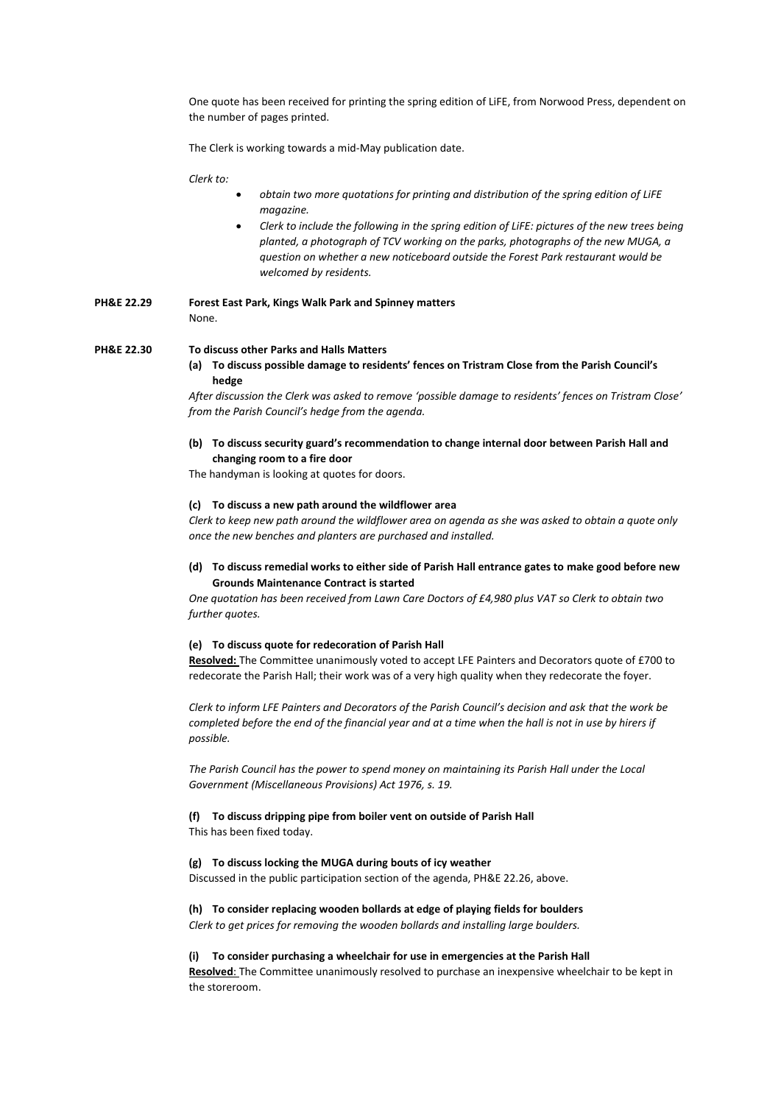One quote has been received for printing the spring edition of LiFE, from Norwood Press, dependent on the number of pages printed.

The Clerk is working towards a mid-May publication date.

*Clerk to:*

- *obtain two more quotations for printing and distribution of the spring edition of LiFE magazine.*
- *Clerk to include the following in the spring edition of LiFE: pictures of the new trees being planted, a photograph of TCV working on the parks, photographs of the new MUGA, a question on whether a new noticeboard outside the Forest Park restaurant would be welcomed by residents.*

**PH&E 22.29 Forest East Park, Kings Walk Park and Spinney matters** None.

**PH&E 22.30 To discuss other Parks and Halls Matters**

**(a) To discuss possible damage to residents' fences on Tristram Close from the Parish Council's hedge**

*After discussion the Clerk was asked to remove 'possible damage to residents' fences on Tristram Close' from the Parish Council's hedge from the agenda.*

**(b) To discuss security guard's recommendation to change internal door between Parish Hall and changing room to a fire door**

The handyman is looking at quotes for doors.

#### **(c) To discuss a new path around the wildflower area**

*Clerk to keep new path around the wildflower area on agenda as she was asked to obtain a quote only once the new benches and planters are purchased and installed.*

**(d) To discuss remedial works to either side of Parish Hall entrance gates to make good before new Grounds Maintenance Contract is started**

*One quotation has been received from Lawn Care Doctors of £4,980 plus VAT so Clerk to obtain two further quotes.*

#### **(e) To discuss quote for redecoration of Parish Hall**

**Resolved:** The Committee unanimously voted to accept LFE Painters and Decorators quote of £700 to redecorate the Parish Hall; their work was of a very high quality when they redecorate the foyer.

*Clerk to inform LFE Painters and Decorators of the Parish Council's decision and ask that the work be completed before the end of the financial year and at a time when the hall is not in use by hirers if possible.*

*The Parish Council has the power to spend money on maintaining its Parish Hall under the Local Government (Miscellaneous Provisions) Act 1976, s. 19.*

## **(f) To discuss dripping pipe from boiler vent on outside of Parish Hall**

This has been fixed today.

### **(g) To discuss locking the MUGA during bouts of icy weather**

Discussed in the public participation section of the agenda, PH&E 22.26, above.

### **(h) To consider replacing wooden bollards at edge of playing fields for boulders** *Clerk to get prices for removing the wooden bollards and installing large boulders.*

### **(i) To consider purchasing a wheelchair for use in emergencies at the Parish Hall**

**Resolved**: The Committee unanimously resolved to purchase an inexpensive wheelchair to be kept in the storeroom.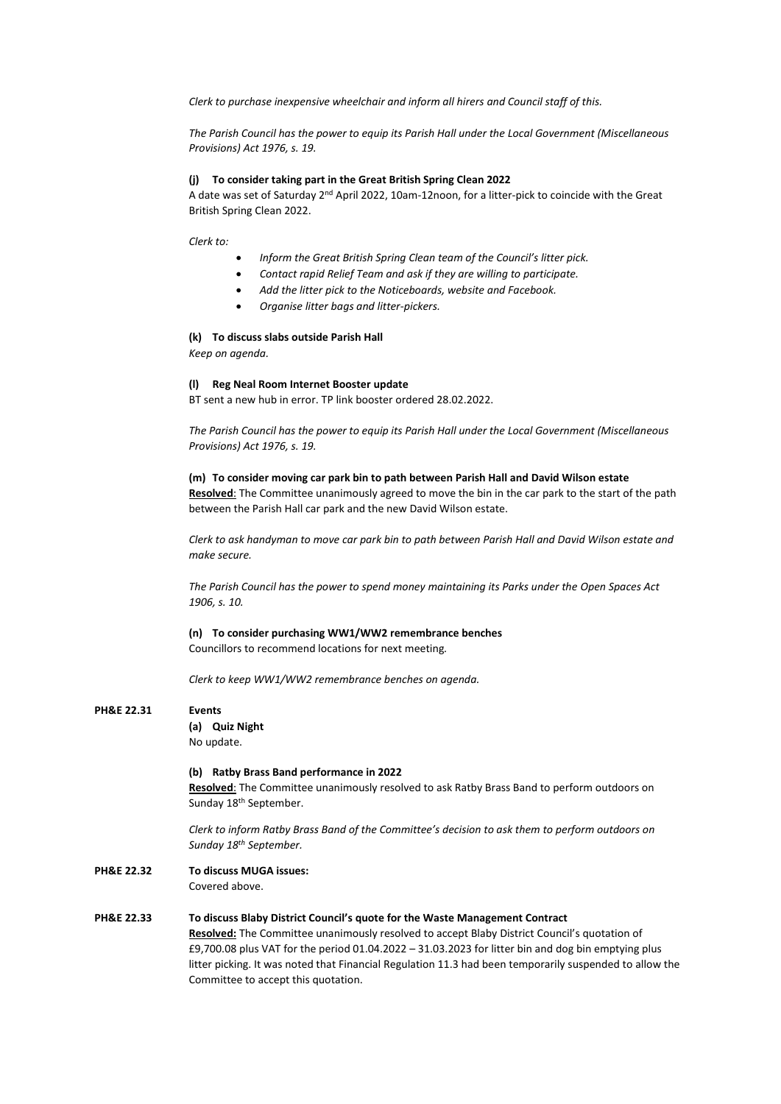*Clerk to purchase inexpensive wheelchair and inform all hirers and Council staff of this.*

*The Parish Council has the power to equip its Parish Hall under the Local Government (Miscellaneous Provisions) Act 1976, s. 19.*

## **(j) To consider taking part in the Great British Spring Clean 2022**

A date was set of Saturday 2nd April 2022, 10am-12noon, for a litter-pick to coincide with the Great British Spring Clean 2022.

*Clerk to:*

- *Inform the Great British Spring Clean team of the Council's litter pick.*
- *Contact rapid Relief Team and ask if they are willing to participate.*
- *Add the litter pick to the Noticeboards, website and Facebook.*
- *Organise litter bags and litter-pickers.*

### **(k) To discuss slabs outside Parish Hall**

*Keep on agenda.*

#### **(l) Reg Neal Room Internet Booster update**

BT sent a new hub in error. TP link booster ordered 28.02.2022.

*The Parish Council has the power to equip its Parish Hall under the Local Government (Miscellaneous Provisions) Act 1976, s. 19.* 

### **(m) To consider moving car park bin to path between Parish Hall and David Wilson estate Resolved**: The Committee unanimously agreed to move the bin in the car park to the start of the path between the Parish Hall car park and the new David Wilson estate.

*Clerk to ask handyman to move car park bin to path between Parish Hall and David Wilson estate and make secure.*

*The Parish Council has the power to spend money maintaining its Parks under the Open Spaces Act 1906, s. 10.*

**(n) To consider purchasing WW1/WW2 remembrance benches**

Councillors to recommend locations for next meeting*.*

*Clerk to keep WW1/WW2 remembrance benches on agenda.*

## **PH&E 22.31 Events**

**(a) Quiz Night** No update.

#### **(b) Ratby Brass Band performance in 2022**

**Resolved**: The Committee unanimously resolved to ask Ratby Brass Band to perform outdoors on Sunday 18<sup>th</sup> September.

*Clerk to inform Ratby Brass Band of the Committee's decision to ask them to perform outdoors on Sunday 18th September.*

**PH&E 22.32 To discuss MUGA issues:** Covered above.

### **PH&E 22.33 To discuss Blaby District Council's quote for the Waste Management Contract**

**Resolved:** The Committee unanimously resolved to accept Blaby District Council's quotation of £9,700.08 plus VAT for the period 01.04.2022 – 31.03.2023 for litter bin and dog bin emptying plus litter picking. It was noted that Financial Regulation 11.3 had been temporarily suspended to allow the Committee to accept this quotation.